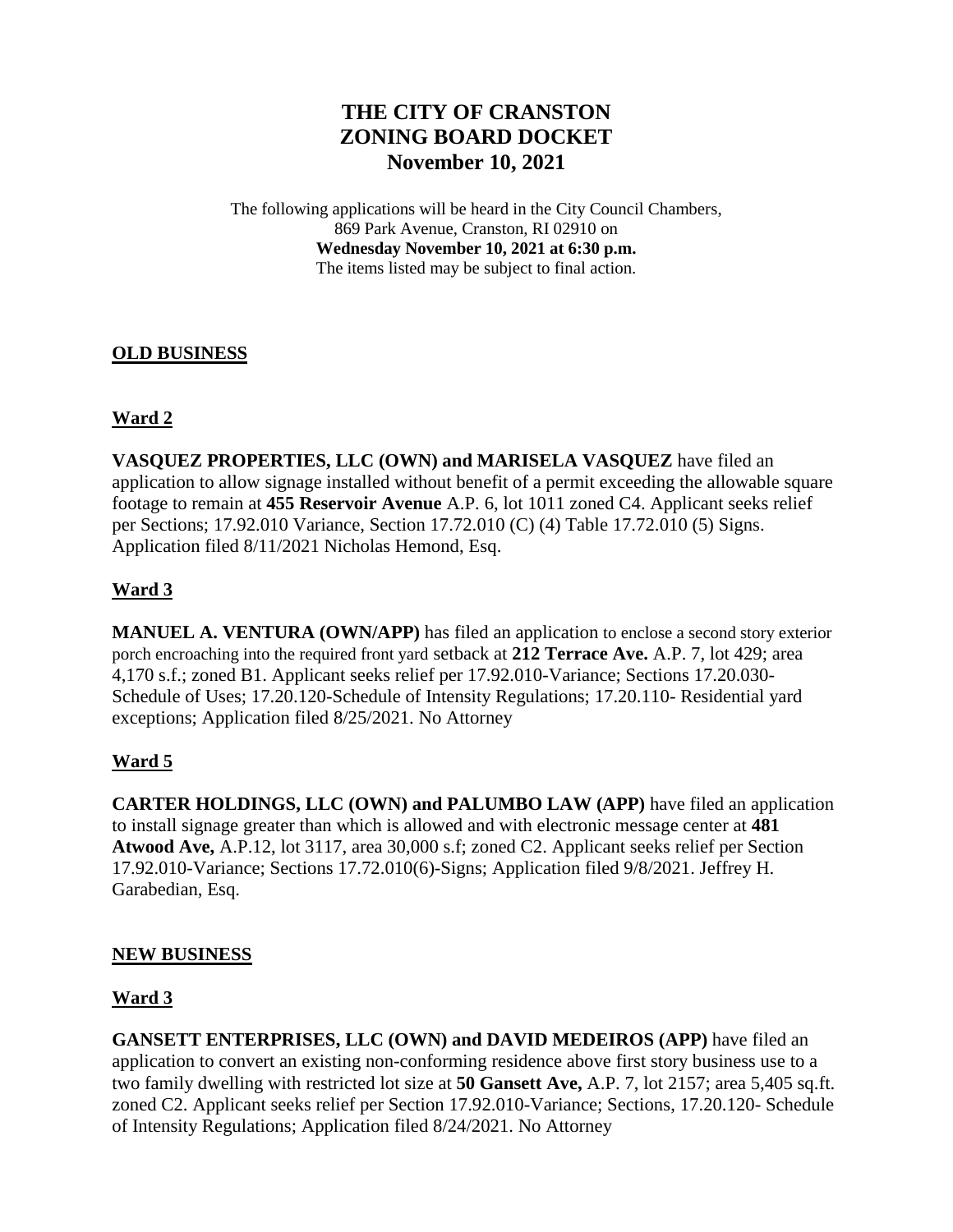# **THE CITY OF CRANSTON ZONING BOARD DOCKET November 10, 2021**

The following applications will be heard in the City Council Chambers, 869 Park Avenue, Cranston, RI 02910 on **Wednesday November 10, 2021 at 6:30 p.m.** The items listed may be subject to final action.

#### **OLD BUSINESS**

### **Ward 2**

**VASQUEZ PROPERTIES, LLC (OWN) and MARISELA VASQUEZ** have filed an application to allow signage installed without benefit of a permit exceeding the allowable square footage to remain at **455 Reservoir Avenue** A.P. 6, lot 1011 zoned C4. Applicant seeks relief per Sections; 17.92.010 Variance, Section 17.72.010 (C) (4) Table 17.72.010 (5) Signs. Application filed 8/11/2021 Nicholas Hemond, Esq.

### **Ward 3**

**MANUEL A. VENTURA (OWN/APP)** has filed an application to enclose a second story exterior porch encroaching into the required front yard setback at **212 Terrace Ave.** A.P. 7, lot 429; area 4,170 s.f.; zoned B1. Applicant seeks relief per 17.92.010-Variance; Sections 17.20.030- Schedule of Uses; 17.20.120-Schedule of Intensity Regulations; 17.20.110- Residential yard exceptions; Application filed 8/25/2021. No Attorney

### **Ward 5**

**CARTER HOLDINGS, LLC (OWN) and PALUMBO LAW (APP)** have filed an application to install signage greater than which is allowed and with electronic message center at **481 Atwood Ave,** A.P.12, lot 3117, area 30,000 s.f; zoned C2. Applicant seeks relief per Section 17.92.010-Variance; Sections 17.72.010(6)-Signs; Application filed 9/8/2021. Jeffrey H. Garabedian, Esq.

### **NEW BUSINESS**

### **Ward 3**

**GANSETT ENTERPRISES, LLC (OWN) and DAVID MEDEIROS (APP)** have filed an application to convert an existing non-conforming residence above first story business use to a two family dwelling with restricted lot size at **50 Gansett Ave,** A.P. 7, lot 2157; area 5,405 sq.ft. zoned C2. Applicant seeks relief per Section 17.92.010-Variance; Sections, 17.20.120- Schedule of Intensity Regulations; Application filed 8/24/2021. No Attorney